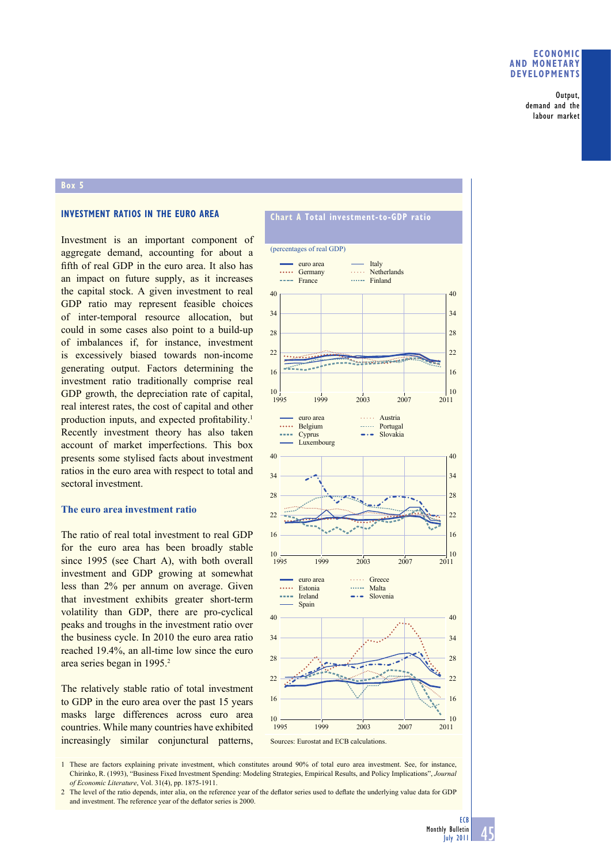### **ECONOMIC AND MONETARY DEVELOPMENTS**

Output, demand and the labour market

## **Box 5**

# **INVESTMENT RATIOS IN THE EURO AREA**

Investment is an important component of aggregate demand, accounting for about a fifth of real GDP in the euro area. It also has an impact on future supply, as it increases the capital stock. A given investment to real GDP ratio may represent feasible choices of inter-temporal resource allocation, but could in some cases also point to a build-up of imbalances if, for instance, investment is excessively biased towards non-income generating output. Factors determining the investment ratio traditionally comprise real GDP growth, the depreciation rate of capital, real interest rates, the cost of capital and other production inputs, and expected profitability.<sup>1</sup> Recently investment theory has also taken account of market imperfections. This box presents some stylised facts about investment ratios in the euro area with respect to total and sectoral investment.

#### **The euro area investment ratio**

The ratio of real total investment to real GDP for the euro area has been broadly stable since 1995 (see Chart A), with both overall investment and GDP growing at somewhat less than 2% per annum on average. Given that investment exhibits greater short-term volatility than GDP, there are pro-cyclical peaks and troughs in the investment ratio over the business cycle. In 2010 the euro area ratio reached 19.4%, an all-time low since the euro area series began in 1995.<sup>2</sup>

The relatively stable ratio of total investment to GDP in the euro area over the past 15 years masks large differences across euro area countries. While many countries have exhibited increasingly similar conjunctural patterns,

# **Chart A Total investment-to-GDP ratio**



1 These are factors explaining private investment, which constitutes around 90% of total euro area investment. See, for instance, Chirinko, R. (1993), "Business Fixed Investment Spending: Modeling Strategies, Empirical Results, and Policy Implications", *Journal of Economic Literature*, Vol. 31(4), pp. 1875-1911.

2 The level of the ratio depends, inter alia, on the reference year of the deflator series used to deflate the underlying value data for GDP and investment. The reference year of the deflator series is 2000.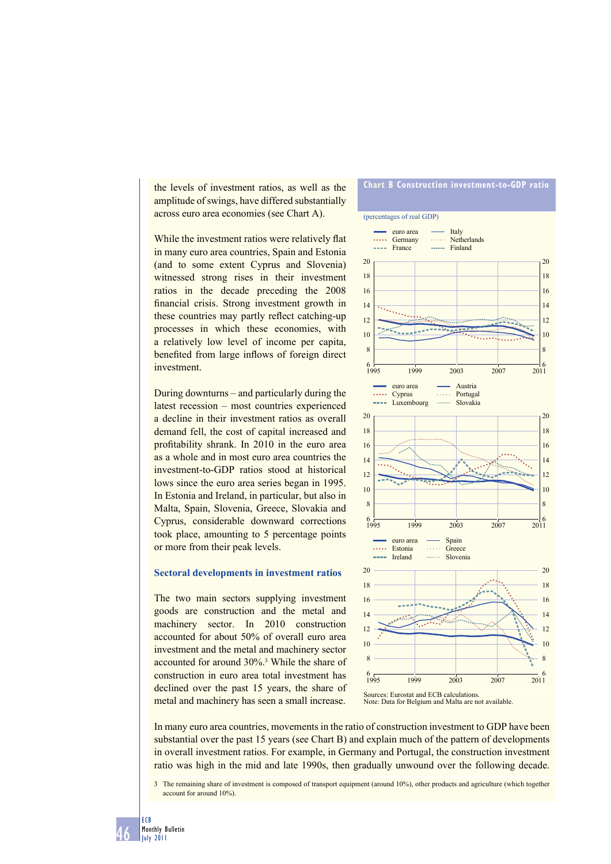the levels of investment ratios, as well as the amplitude of swings, have differed substantially across euro area economies (see Chart A).

While the investment ratios were relatively flat in many euro area countries, Spain and Estonia (and to some extent Cyprus and Slovenia) witnessed strong rises in their investment ratios in the decade preceding the 2008 financial crisis. Strong investment growth in these countries may partly reflect catching-up processes in which these economies, with a relatively low level of income per capita, benefited from large inflows of foreign direct investment.

During downturns – and particularly during the latest recession – most countries experienced a decline in their investment ratios as overall demand fell, the cost of capital increased and profitability shrank. In 2010 in the euro area as a whole and in most euro area countries the investment-to-GDP ratios stood at historical lows since the euro area series began in 1995. In Estonia and Ireland, in particular, but also in Malta, Spain, Slovenia, Greece, Slovakia and Cyprus, considerable downward corrections took place, amounting to 5 percentage points or more from their peak levels.

## **Sectoral developments in investment ratios**

The two main sectors supplying investment goods are construction and the metal and machinery sector. In 2010 construction accounted for about 50% of overall euro area investment and the metal and machinery sector accounted for around 30%.3 While the share of construction in euro area total investment has declined over the past 15 years, the share of metal and machinery has seen a small increase.

# **Chart B Construction investment-to-GDP ratio**



Note: Data for Belgium and Malta are not available.

In many euro area countries, movements in the ratio of construction investment to GDP have been substantial over the past 15 years (see Chart B) and explain much of the pattern of developments in overall investment ratios. For example, in Germany and Portugal, the construction investment ratio was high in the mid and late 1990s, then gradually unwound over the following decade.

3 The remaining share of investment is composed of transport equipment (around 10%), other products and agriculture (which together account for around 10%).

46